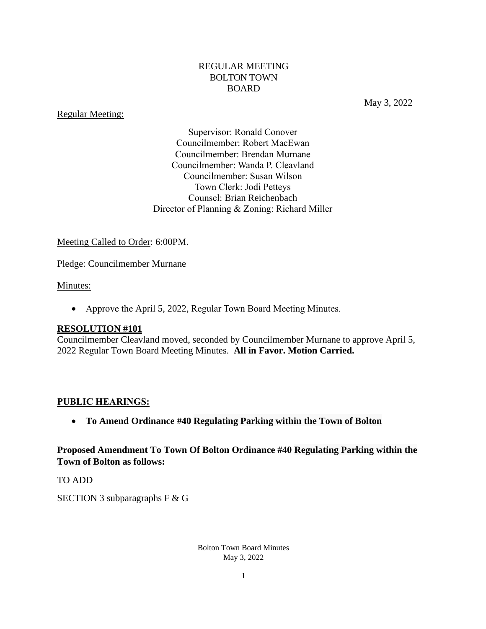#### REGULAR MEETING BOLTON TOWN BOARD

#### Regular Meeting:

May 3, 2022

Supervisor: Ronald Conover Councilmember: Robert MacEwan Councilmember: Brendan Murnane Councilmember: Wanda P. Cleavland Councilmember: Susan Wilson Town Clerk: Jodi Petteys Counsel: Brian Reichenbach Director of Planning & Zoning: Richard Miller

#### Meeting Called to Order: 6:00PM.

Pledge: Councilmember Murnane

#### Minutes:

• Approve the April 5, 2022, Regular Town Board Meeting Minutes.

#### **RESOLUTION #101**

Councilmember Cleavland moved, seconded by Councilmember Murnane to approve April 5, 2022 Regular Town Board Meeting Minutes. **All in Favor. Motion Carried.**

#### **PUBLIC HEARINGS:**

• **To Amend Ordinance #40 [Regulating Parking within the Town of Bolton](https://www.boltonnewyork.com/government/town-ordinances/2478-ordinance-40-regulating-parking-within-the-town-of-bolton/file.html)**

**Proposed Amendment To Town Of Bolton Ordinance #40 [Regulating Parking within the](https://www.boltonnewyork.com/government/town-ordinances/2478-ordinance-40-regulating-parking-within-the-town-of-bolton/file.html)  [Town of Bolton](https://www.boltonnewyork.com/government/town-ordinances/2478-ordinance-40-regulating-parking-within-the-town-of-bolton/file.html) as follows:**

TO ADD

SECTION 3 subparagraphs F & G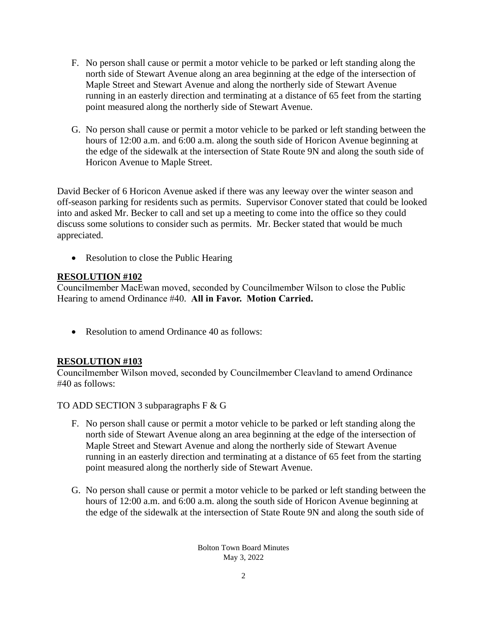- F. No person shall cause or permit a motor vehicle to be parked or left standing along the north side of Stewart Avenue along an area beginning at the edge of the intersection of Maple Street and Stewart Avenue and along the northerly side of Stewart Avenue running in an easterly direction and terminating at a distance of 65 feet from the starting point measured along the northerly side of Stewart Avenue.
- G. No person shall cause or permit a motor vehicle to be parked or left standing between the hours of 12:00 a.m. and 6:00 a.m. along the south side of Horicon Avenue beginning at the edge of the sidewalk at the intersection of State Route 9N and along the south side of Horicon Avenue to Maple Street.

David Becker of 6 Horicon Avenue asked if there was any leeway over the winter season and off-season parking for residents such as permits. Supervisor Conover stated that could be looked into and asked Mr. Becker to call and set up a meeting to come into the office so they could discuss some solutions to consider such as permits. Mr. Becker stated that would be much appreciated.

• Resolution to close the Public Hearing

### **RESOLUTION #102**

Councilmember MacEwan moved, seconded by Councilmember Wilson to close the Public Hearing to amend Ordinance #40. **All in Favor. Motion Carried.**

• Resolution to amend Ordinance 40 as follows:

#### **RESOLUTION #103**

Councilmember Wilson moved, seconded by Councilmember Cleavland to amend Ordinance #40 as follows:

TO ADD SECTION 3 subparagraphs F & G

- F. No person shall cause or permit a motor vehicle to be parked or left standing along the north side of Stewart Avenue along an area beginning at the edge of the intersection of Maple Street and Stewart Avenue and along the northerly side of Stewart Avenue running in an easterly direction and terminating at a distance of 65 feet from the starting point measured along the northerly side of Stewart Avenue.
- G. No person shall cause or permit a motor vehicle to be parked or left standing between the hours of 12:00 a.m. and 6:00 a.m. along the south side of Horicon Avenue beginning at the edge of the sidewalk at the intersection of State Route 9N and along the south side of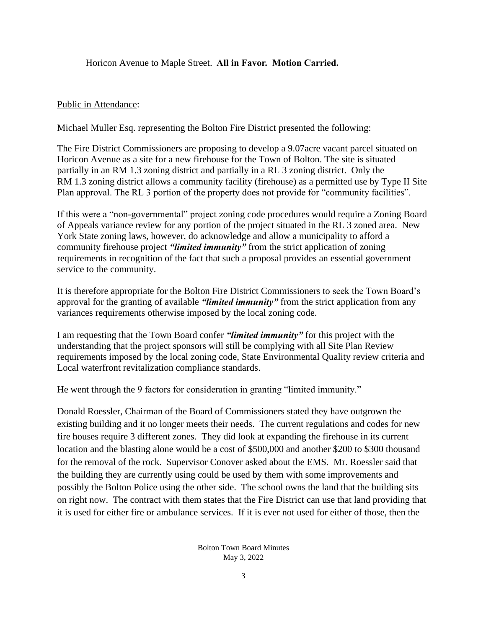Horicon Avenue to Maple Street. **All in Favor. Motion Carried.**

### Public in Attendance:

Michael Muller Esq. representing the Bolton Fire District presented the following:

The Fire District Commissioners are proposing to develop a 9.07acre vacant parcel situated on Horicon Avenue as a site for a new firehouse for the Town of Bolton. The site is situated partially in an RM 1.3 zoning district and partially in a RL 3 zoning district. Only the RM 1.3 zoning district allows a community facility (firehouse) as a permitted use by Type II Site Plan approval. The RL 3 portion of the property does not provide for "community facilities".

If this were a "non-governmental" project zoning code procedures would require a Zoning Board of Appeals variance review for any portion of the project situated in the RL 3 zoned area. New York State zoning laws, however, do acknowledge and allow a municipality to afford a community firehouse project *"limited immunity"* from the strict application of zoning requirements in recognition of the fact that such a proposal provides an essential government service to the community.

It is therefore appropriate for the Bolton Fire District Commissioners to seek the Town Board's approval for the granting of available *"limited immunity"* from the strict application from any variances requirements otherwise imposed by the local zoning code.

I am requesting that the Town Board confer *"limited immunity"* for this project with the understanding that the project sponsors will still be complying with all Site Plan Review requirements imposed by the local zoning code, State Environmental Quality review criteria and Local waterfront revitalization compliance standards.

He went through the 9 factors for consideration in granting "limited immunity."

Donald Roessler, Chairman of the Board of Commissioners stated they have outgrown the existing building and it no longer meets their needs. The current regulations and codes for new fire houses require 3 different zones. They did look at expanding the firehouse in its current location and the blasting alone would be a cost of \$500,000 and another \$200 to \$300 thousand for the removal of the rock. Supervisor Conover asked about the EMS. Mr. Roessler said that the building they are currently using could be used by them with some improvements and possibly the Bolton Police using the other side. The school owns the land that the building sits on right now. The contract with them states that the Fire District can use that land providing that it is used for either fire or ambulance services. If it is ever not used for either of those, then the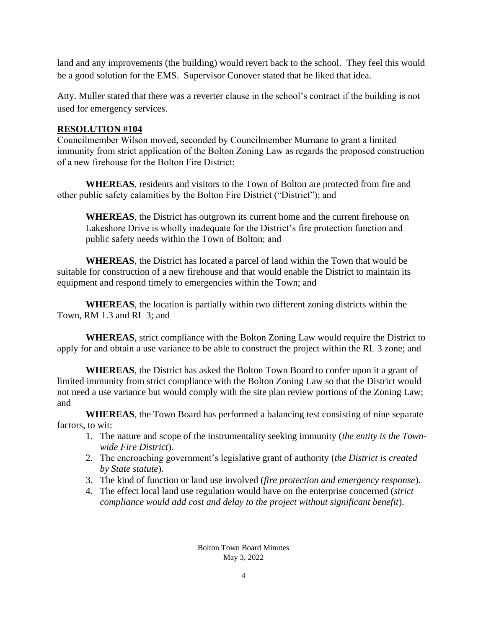land and any improvements (the building) would revert back to the school. They feel this would be a good solution for the EMS. Supervisor Conover stated that he liked that idea.

Atty. Muller stated that there was a reverter clause in the school's contract if the building is not used for emergency services.

### **RESOLUTION #104**

Councilmember Wilson moved, seconded by Councilmember Murnane to grant a limited immunity from strict application of the Bolton Zoning Law as regards the proposed construction of a new firehouse for the Bolton Fire District:

**WHEREAS**, residents and visitors to the Town of Bolton are protected from fire and other public safety calamities by the Bolton Fire District ("District"); and

**WHEREAS**, the District has outgrown its current home and the current firehouse on Lakeshore Drive is wholly inadequate for the District's fire protection function and public safety needs within the Town of Bolton; and

**WHEREAS**, the District has located a parcel of land within the Town that would be suitable for construction of a new firehouse and that would enable the District to maintain its equipment and respond timely to emergencies within the Town; and

**WHEREAS**, the location is partially within two different zoning districts within the Town, RM 1.3 and RL 3; and

**WHEREAS**, strict compliance with the Bolton Zoning Law would require the District to apply for and obtain a use variance to be able to construct the project within the RL 3 zone; and

**WHEREAS**, the District has asked the Bolton Town Board to confer upon it a grant of limited immunity from strict compliance with the Bolton Zoning Law so that the District would not need a use variance but would comply with the site plan review portions of the Zoning Law; and

**WHEREAS**, the Town Board has performed a balancing test consisting of nine separate factors, to wit:

- 1. The nature and scope of the instrumentality seeking immunity (*the entity is the Townwide Fire District*).
- 2. The encroaching government's legislative grant of authority (*the District is created by State statute*).
- 3. The kind of function or land use involved (*fire protection and emergency response*).
- 4. The effect local land use regulation would have on the enterprise concerned (*strict compliance would add cost and delay to the project without significant benefit*).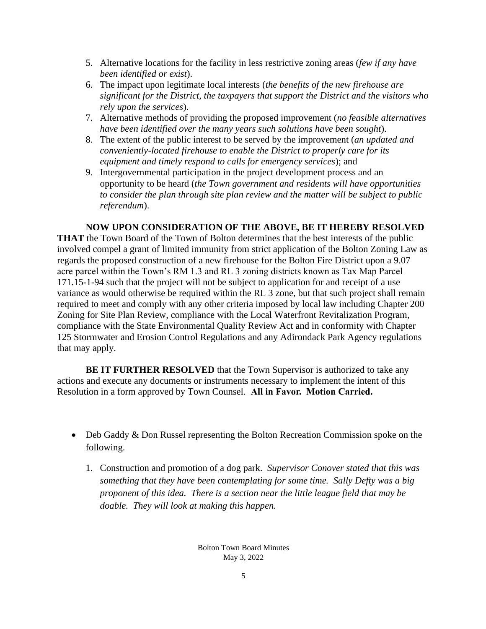- 5. Alternative locations for the facility in less restrictive zoning areas (*few if any have been identified or exist*).
- 6. The impact upon legitimate local interests (*the benefits of the new firehouse are significant for the District, the taxpayers that support the District and the visitors who rely upon the services*).
- 7. Alternative methods of providing the proposed improvement (*no feasible alternatives have been identified over the many years such solutions have been sought*).
- 8. The extent of the public interest to be served by the improvement (*an updated and conveniently-located firehouse to enable the District to properly care for its equipment and timely respond to calls for emergency services*); and
- 9. Intergovernmental participation in the project development process and an opportunity to be heard (*the Town government and residents will have opportunities to consider the plan through site plan review and the matter will be subject to public referendum*).

#### **NOW UPON CONSIDERATION OF THE ABOVE, BE IT HEREBY RESOLVED**

**THAT** the Town Board of the Town of Bolton determines that the best interests of the public involved compel a grant of limited immunity from strict application of the Bolton Zoning Law as regards the proposed construction of a new firehouse for the Bolton Fire District upon a 9.07 acre parcel within the Town's RM 1.3 and RL 3 zoning districts known as Tax Map Parcel 171.15-1-94 such that the project will not be subject to application for and receipt of a use variance as would otherwise be required within the RL 3 zone, but that such project shall remain required to meet and comply with any other criteria imposed by local law including Chapter 200 Zoning for Site Plan Review, compliance with the Local Waterfront Revitalization Program, compliance with the State Environmental Quality Review Act and in conformity with Chapter 125 Stormwater and Erosion Control Regulations and any Adirondack Park Agency regulations that may apply.

**BE IT FURTHER RESOLVED** that the Town Supervisor is authorized to take any actions and execute any documents or instruments necessary to implement the intent of this Resolution in a form approved by Town Counsel. **All in Favor. Motion Carried.**

- Deb Gaddy & Don Russel representing the Bolton Recreation Commission spoke on the following.
	- 1. Construction and promotion of a dog park. *Supervisor Conover stated that this was something that they have been contemplating for some time. Sally Defty was a big proponent of this idea. There is a section near the little league field that may be doable. They will look at making this happen.*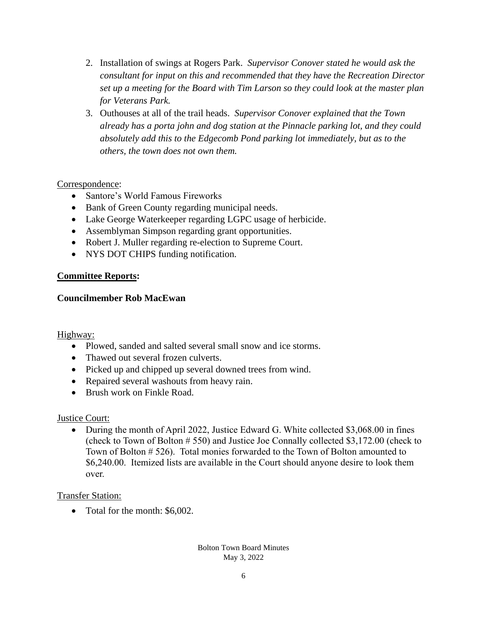- 2. Installation of swings at Rogers Park. *Supervisor Conover stated he would ask the consultant for input on this and recommended that they have the Recreation Director set up a meeting for the Board with Tim Larson so they could look at the master plan for Veterans Park.*
- 3. Outhouses at all of the trail heads. *Supervisor Conover explained that the Town already has a porta john and dog station at the Pinnacle parking lot, and they could absolutely add this to the Edgecomb Pond parking lot immediately, but as to the others, the town does not own them.*

### Correspondence:

- Santore's World Famous Fireworks
- Bank of Green County regarding municipal needs.
- Lake George Waterkeeper regarding LGPC usage of herbicide.
- Assemblyman Simpson regarding grant opportunities.
- Robert J. Muller regarding re-election to Supreme Court.
- NYS DOT CHIPS funding notification.

### **Committee Reports:**

### **Councilmember Rob MacEwan**

#### Highway:

- Plowed, sanded and salted several small snow and ice storms.
- Thawed out several frozen culverts.
- Picked up and chipped up several downed trees from wind.
- Repaired several washouts from heavy rain.
- Brush work on Finkle Road.

## Justice Court:

• During the month of April 2022, Justice Edward G. White collected \$3,068.00 in fines (check to Town of Bolton # 550) and Justice Joe Connally collected \$3,172.00 (check to Town of Bolton # 526). Total monies forwarded to the Town of Bolton amounted to \$6,240.00. Itemized lists are available in the Court should anyone desire to look them over.

## Transfer Station:

• Total for the month: \$6,002.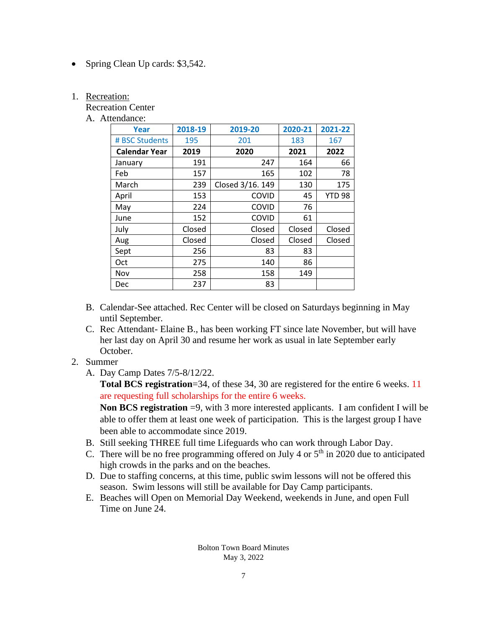• Spring Clean Up cards: \$3,542.

#### 1. Recreation:

Recreation Center

A. Attendance:

| <b>Year</b>          | 2018-19 | 2019-20          | 2020-21 | 2021-22       |
|----------------------|---------|------------------|---------|---------------|
| # BSC Students       | 195     | 201              | 183     | 167           |
| <b>Calendar Year</b> | 2019    | 2020             | 2021    | 2022          |
| January              | 191     | 247              | 164     | 66            |
| Feb                  | 157     | 165              | 102     | 78            |
| March                | 239     | Closed 3/16. 149 | 130     | 175           |
| April                | 153     | <b>COVID</b>     | 45      | <b>YTD 98</b> |
| May                  | 224     | <b>COVID</b>     | 76      |               |
| June                 | 152     | COVID            | 61      |               |
| July                 | Closed  | Closed           | Closed  | Closed        |
| Aug                  | Closed  | Closed           | Closed  | Closed        |
| Sept                 | 256     | 83               | 83      |               |
| Oct                  | 275     | 140              | 86      |               |
| Nov                  | 258     | 158              | 149     |               |
| Dec                  | 237     | 83               |         |               |

- B. Calendar-See attached. Rec Center will be closed on Saturdays beginning in May until September.
- C. Rec Attendant- Elaine B., has been working FT since late November, but will have her last day on April 30 and resume her work as usual in late September early October.
- 2. Summer
	- A. Day Camp Dates 7/5-8/12/22.

**Total BCS registration**=34, of these 34, 30 are registered for the entire 6 weeks. 11 are requesting full scholarships for the entire 6 weeks.

**Non BCS registration** =9, with 3 more interested applicants. I am confident I will be able to offer them at least one week of participation. This is the largest group I have been able to accommodate since 2019.

- B. Still seeking THREE full time Lifeguards who can work through Labor Day.
- C. There will be no free programming offered on July 4 or  $5<sup>th</sup>$  in 2020 due to anticipated high crowds in the parks and on the beaches.
- D. Due to staffing concerns, at this time, public swim lessons will not be offered this season. Swim lessons will still be available for Day Camp participants.
- E. Beaches will Open on Memorial Day Weekend, weekends in June, and open Full Time on June 24.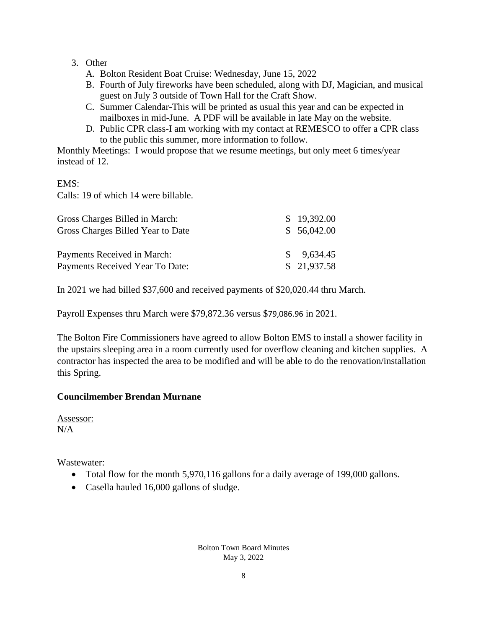## 3. Other

- A. Bolton Resident Boat Cruise: Wednesday, June 15, 2022
- B. Fourth of July fireworks have been scheduled, along with DJ, Magician, and musical guest on July 3 outside of Town Hall for the Craft Show.
- C. Summer Calendar-This will be printed as usual this year and can be expected in mailboxes in mid-June. A PDF will be available in late May on the website.
- D. Public CPR class-I am working with my contact at REMESCO to offer a CPR class to the public this summer, more information to follow.

Monthly Meetings: I would propose that we resume meetings, but only meet 6 times/year instead of 12.

### EMS:

Calls: 19 of which 14 were billable.

| Gross Charges Billed in March:    | \$19,392.00           |
|-----------------------------------|-----------------------|
| Gross Charges Billed Year to Date | \$56,042.00           |
|                                   |                       |
| Payments Received in March:       | $\frac{\$}{9,634.45}$ |
| Payments Received Year To Date:   | \$21,937.58           |

In 2021 we had billed \$37,600 and received payments of \$20,020.44 thru March.

Payroll Expenses thru March were \$79,872.36 versus \$79,086.96 in 2021.

The Bolton Fire Commissioners have agreed to allow Bolton EMS to install a shower facility in the upstairs sleeping area in a room currently used for overflow cleaning and kitchen supplies. A contractor has inspected the area to be modified and will be able to do the renovation/installation this Spring.

## **Councilmember Brendan Murnane**

Assessor:  $N/A$ 

Wastewater:

- Total flow for the month 5,970,116 gallons for a daily average of 199,000 gallons.
- Casella hauled 16,000 gallons of sludge.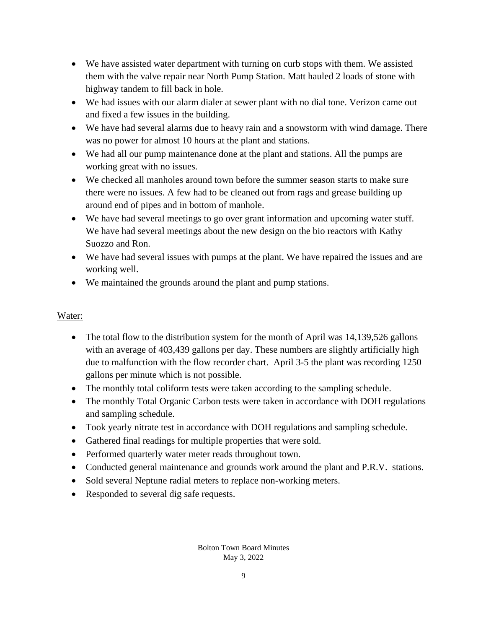- We have assisted water department with turning on curb stops with them. We assisted them with the valve repair near North Pump Station. Matt hauled 2 loads of stone with highway tandem to fill back in hole.
- We had issues with our alarm dialer at sewer plant with no dial tone. Verizon came out and fixed a few issues in the building.
- We have had several alarms due to heavy rain and a snowstorm with wind damage. There was no power for almost 10 hours at the plant and stations.
- We had all our pump maintenance done at the plant and stations. All the pumps are working great with no issues.
- We checked all manholes around town before the summer season starts to make sure there were no issues. A few had to be cleaned out from rags and grease building up around end of pipes and in bottom of manhole.
- We have had several meetings to go over grant information and upcoming water stuff. We have had several meetings about the new design on the bio reactors with Kathy Suozzo and Ron.
- We have had several issues with pumps at the plant. We have repaired the issues and are working well.
- We maintained the grounds around the plant and pump stations.

# Water:

- The total flow to the distribution system for the month of April was 14,139,526 gallons with an average of 403,439 gallons per day. These numbers are slightly artificially high due to malfunction with the flow recorder chart. April 3-5 the plant was recording 1250 gallons per minute which is not possible.
- The monthly total coliform tests were taken according to the sampling schedule.
- The monthly Total Organic Carbon tests were taken in accordance with DOH regulations and sampling schedule.
- Took yearly nitrate test in accordance with DOH regulations and sampling schedule.
- Gathered final readings for multiple properties that were sold.
- Performed quarterly water meter reads throughout town.
- Conducted general maintenance and grounds work around the plant and P.R.V. stations.
- Sold several Neptune radial meters to replace non-working meters.
- Responded to several dig safe requests.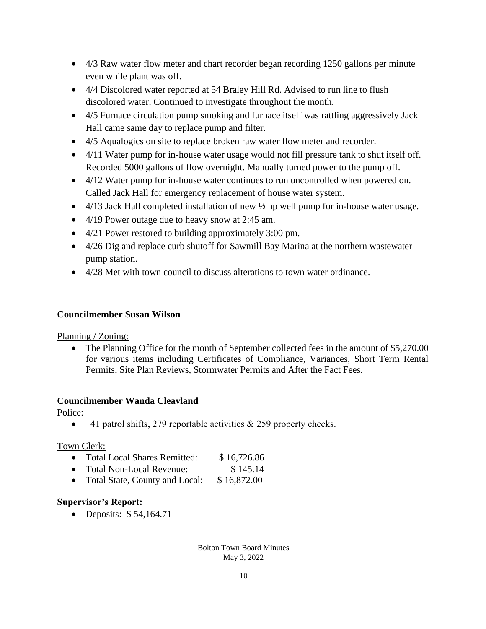- 4/3 Raw water flow meter and chart recorder began recording 1250 gallons per minute even while plant was off.
- 4/4 Discolored water reported at 54 Braley Hill Rd. Advised to run line to flush discolored water. Continued to investigate throughout the month.
- 4/5 Furnace circulation pump smoking and furnace itself was rattling aggressively Jack Hall came same day to replace pump and filter.
- 4/5 Aqualogics on site to replace broken raw water flow meter and recorder.
- 4/11 Water pump for in-house water usage would not fill pressure tank to shut itself off. Recorded 5000 gallons of flow overnight. Manually turned power to the pump off.
- 4/12 Water pump for in-house water continues to run uncontrolled when powered on. Called Jack Hall for emergency replacement of house water system.
- $4/13$  Jack Hall completed installation of new  $\frac{1}{2}$  hp well pump for in-house water usage.
- 4/19 Power outage due to heavy snow at 2:45 am.
- 4/21 Power restored to building approximately 3:00 pm.
- 4/26 Dig and replace curb shutoff for Sawmill Bay Marina at the northern wastewater pump station.
- 4/28 Met with town council to discuss alterations to town water ordinance.

#### **Councilmember Susan Wilson**

#### Planning / Zoning:

• The Planning Office for the month of September collected fees in the amount of \$5,270.00 for various items including Certificates of Compliance, Variances, Short Term Rental Permits, Site Plan Reviews, Stormwater Permits and After the Fact Fees.

#### **Councilmember Wanda Cleavland**

Police:

• 41 patrol shifts, 279 reportable activities  $& 259$  property checks.

#### Town Clerk:

- Total Local Shares Remitted: \$16,726.86 • Total Non-Local Revenue: \$145.14
- Total State, County and Local: \$16,872.00

## **Supervisor's Report:**

• Deposits: \$54,164.71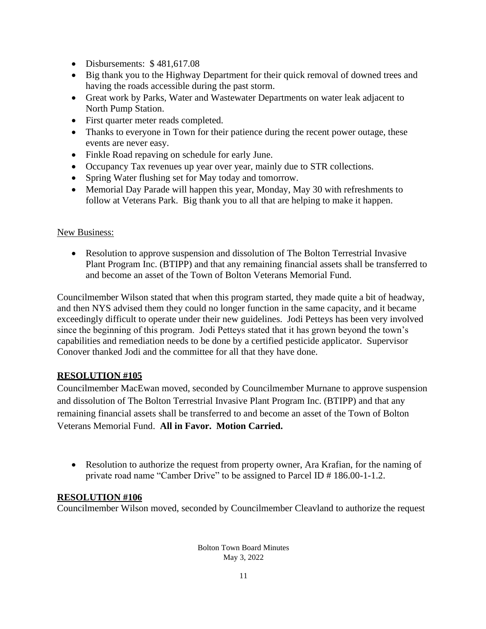- Disbursements: \$481,617.08
- Big thank you to the Highway Department for their quick removal of downed trees and having the roads accessible during the past storm.
- Great work by Parks, Water and Wastewater Departments on water leak adjacent to North Pump Station.
- First quarter meter reads completed.
- Thanks to everyone in Town for their patience during the recent power outage, these events are never easy.
- Finkle Road repaving on schedule for early June.
- Occupancy Tax revenues up year over year, mainly due to STR collections.
- Spring Water flushing set for May today and tomorrow.
- Memorial Day Parade will happen this year, Monday, May 30 with refreshments to follow at Veterans Park. Big thank you to all that are helping to make it happen.

### New Business:

• Resolution to approve suspension and dissolution of The Bolton Terrestrial Invasive Plant Program Inc. (BTIPP) and that any remaining financial assets shall be transferred to and become an asset of the Town of Bolton Veterans Memorial Fund.

Councilmember Wilson stated that when this program started, they made quite a bit of headway, and then NYS advised them they could no longer function in the same capacity, and it became exceedingly difficult to operate under their new guidelines. Jodi Petteys has been very involved since the beginning of this program. Jodi Petteys stated that it has grown beyond the town's capabilities and remediation needs to be done by a certified pesticide applicator. Supervisor Conover thanked Jodi and the committee for all that they have done.

## **RESOLUTION #105**

Councilmember MacEwan moved, seconded by Councilmember Murnane to approve suspension and dissolution of The Bolton Terrestrial Invasive Plant Program Inc. (BTIPP) and that any remaining financial assets shall be transferred to and become an asset of the Town of Bolton Veterans Memorial Fund. **All in Favor. Motion Carried.**

• Resolution to authorize the request from property owner, Ara Krafian, for the naming of private road name "Camber Drive" to be assigned to Parcel ID # 186.00-1-1.2.

## **RESOLUTION #106**

Councilmember Wilson moved, seconded by Councilmember Cleavland to authorize the request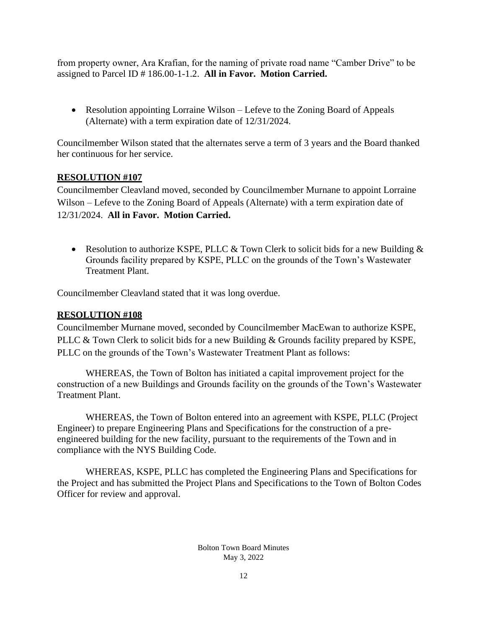from property owner, Ara Krafian, for the naming of private road name "Camber Drive" to be assigned to Parcel ID # 186.00-1-1.2. **All in Favor. Motion Carried.**

• Resolution appointing Lorraine Wilson – Lefeve to the Zoning Board of Appeals (Alternate) with a term expiration date of 12/31/2024.

Councilmember Wilson stated that the alternates serve a term of 3 years and the Board thanked her continuous for her service.

### **RESOLUTION #107**

Councilmember Cleavland moved, seconded by Councilmember Murnane to appoint Lorraine Wilson – Lefeve to the Zoning Board of Appeals (Alternate) with a term expiration date of 12/31/2024. **All in Favor. Motion Carried.**

• Resolution to authorize KSPE, PLLC  $&$  Town Clerk to solicit bids for a new Building  $&$ Grounds facility prepared by KSPE, PLLC on the grounds of the Town's Wastewater Treatment Plant.

Councilmember Cleavland stated that it was long overdue.

#### **RESOLUTION #108**

Councilmember Murnane moved, seconded by Councilmember MacEwan to authorize KSPE, PLLC & Town Clerk to solicit bids for a new Building & Grounds facility prepared by KSPE, PLLC on the grounds of the Town's Wastewater Treatment Plant as follows:

WHEREAS, the Town of Bolton has initiated a capital improvement project for the construction of a new Buildings and Grounds facility on the grounds of the Town's Wastewater Treatment Plant.

WHEREAS, the Town of Bolton entered into an agreement with KSPE, PLLC (Project Engineer) to prepare Engineering Plans and Specifications for the construction of a preengineered building for the new facility, pursuant to the requirements of the Town and in compliance with the NYS Building Code.

WHEREAS, KSPE, PLLC has completed the Engineering Plans and Specifications for the Project and has submitted the Project Plans and Specifications to the Town of Bolton Codes Officer for review and approval.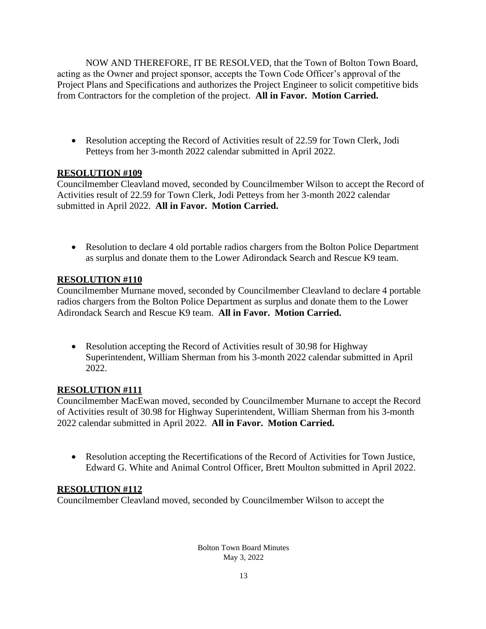NOW AND THEREFORE, IT BE RESOLVED, that the Town of Bolton Town Board, acting as the Owner and project sponsor, accepts the Town Code Officer's approval of the Project Plans and Specifications and authorizes the Project Engineer to solicit competitive bids from Contractors for the completion of the project. **All in Favor. Motion Carried.**

• Resolution accepting the Record of Activities result of 22.59 for Town Clerk, Jodi Petteys from her 3-month 2022 calendar submitted in April 2022.

## **RESOLUTION #109**

Councilmember Cleavland moved, seconded by Councilmember Wilson to accept the Record of Activities result of 22.59 for Town Clerk, Jodi Petteys from her 3-month 2022 calendar submitted in April 2022. **All in Favor. Motion Carried.**

• Resolution to declare 4 old portable radios chargers from the Bolton Police Department as surplus and donate them to the Lower Adirondack Search and Rescue K9 team.

## **RESOLUTION #110**

Councilmember Murnane moved, seconded by Councilmember Cleavland to declare 4 portable radios chargers from the Bolton Police Department as surplus and donate them to the Lower Adirondack Search and Rescue K9 team. **All in Favor. Motion Carried.**

• Resolution accepting the Record of Activities result of 30.98 for Highway Superintendent, William Sherman from his 3-month 2022 calendar submitted in April 2022.

## **RESOLUTION #111**

Councilmember MacEwan moved, seconded by Councilmember Murnane to accept the Record of Activities result of 30.98 for Highway Superintendent, William Sherman from his 3-month 2022 calendar submitted in April 2022. **All in Favor. Motion Carried.**

• Resolution accepting the Recertifications of the Record of Activities for Town Justice, Edward G. White and Animal Control Officer, Brett Moulton submitted in April 2022.

## **RESOLUTION #112**

Councilmember Cleavland moved, seconded by Councilmember Wilson to accept the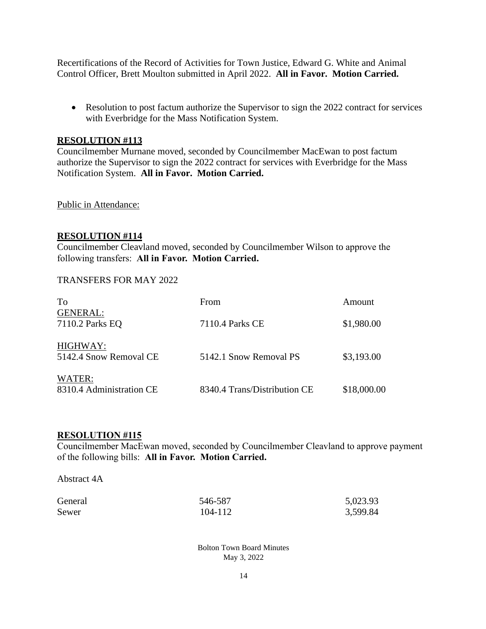Recertifications of the Record of Activities for Town Justice, Edward G. White and Animal Control Officer, Brett Moulton submitted in April 2022. **All in Favor. Motion Carried.**

• Resolution to post factum authorize the Supervisor to sign the 2022 contract for services with Everbridge for the Mass Notification System.

#### **RESOLUTION #113**

Councilmember Murnane moved, seconded by Councilmember MacEwan to post factum authorize the Supervisor to sign the 2022 contract for services with Everbridge for the Mass Notification System. **All in Favor. Motion Carried.**

Public in Attendance:

#### **RESOLUTION #114**

Councilmember Cleavland moved, seconded by Councilmember Wilson to approve the following transfers: **All in Favor. Motion Carried.**

#### TRANSFERS FOR MAY 2022

| To                                 | From                         | Amount      |
|------------------------------------|------------------------------|-------------|
| <b>GENERAL:</b><br>7110.2 Parks EQ | 7110.4 Parks CE              | \$1,980.00  |
| HIGHWAY:<br>5142.4 Snow Removal CE | 5142.1 Snow Removal PS       | \$3,193.00  |
| WATER:<br>8310.4 Administration CE | 8340.4 Trans/Distribution CE | \$18,000.00 |

#### **RESOLUTION #115**

Councilmember MacEwan moved, seconded by Councilmember Cleavland to approve payment of the following bills: **All in Favor. Motion Carried.**

Abstract 4A

| General | 546-587 | 5,023.93 |
|---------|---------|----------|
| Sewer   | 104-112 | 3,599.84 |